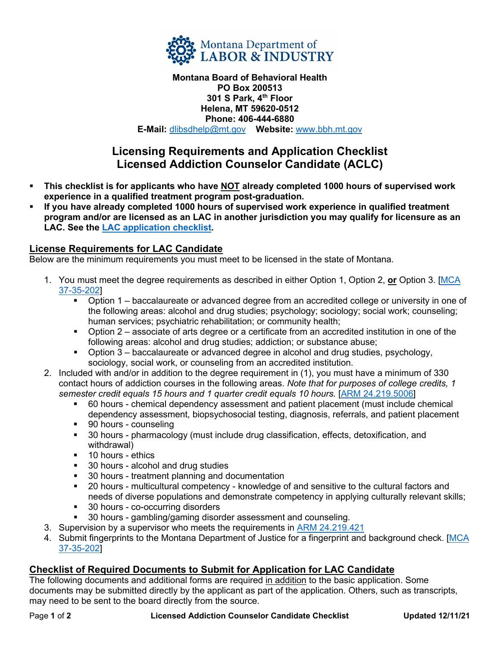

### **Montana Board of Behavioral Health PO Box 200513 301 S Park, 4th Floor Helena, MT 59620-0512 Phone: 406-444-6880 E-Mail:** [dlibsdhelp@mt.gov](mailto:dlibsdhelp@mt.gov) **Website:** [www.bbh.mt.gov](http://www.bbh.mt.gov/)

# **Licensing Requirements and Application Checklist Licensed Addiction Counselor Candidate (ACLC)**

- **This checklist is for applicants who have NOT already completed 1000 hours of supervised work experience in a qualified treatment program post-graduation.**
- **If you have already completed 1000 hours of supervised work experience in qualified treatment program and/or are licensed as an LAC in another jurisdiction you may qualify for licensure as an LAC. See the [LAC application checklist.](https://boards.bsd.dli.mt.gov/_docs/bbh/lac-app-checklist.pdf)**

## **License Requirements for LAC Candidate**

Below are the minimum requirements you must meet to be licensed in the state of Montana.

- 1. You must meet the degree requirements as described in either Option 1, Option 2, **or** Option 3. [\[MCA](https://leg.mt.gov/bills/mca/title_0370/chapter_0350/part_0020/section_0020/0370-0350-0020-0020.html)  [37-35-202\]](https://leg.mt.gov/bills/mca/title_0370/chapter_0350/part_0020/section_0020/0370-0350-0020-0020.html)
	- Option 1 baccalaureate or advanced degree from an accredited college or university in one of the following areas: alcohol and drug studies; psychology; sociology; social work; counseling; human services; psychiatric rehabilitation; or community health;
	- Option 2 associate of arts degree or a certificate from an accredited institution in one of the following areas: alcohol and drug studies; addiction; or substance abuse;
	- Option 3 baccalaureate or advanced degree in alcohol and drug studies, psychology, sociology, social work, or counseling from an accredited institution.
- 2. Included with and/or in addition to the degree requirement in (1), you must have a minimum of 330 contact hours of addiction courses in the following areas. *Note that for purposes of college credits, 1 semester credit equals 15 hours and 1 quarter credit equals 10 hours.* [\[ARM 24.219.5006\]](http://mtrules.org/gateway/RuleNo.asp?RN=24%2E219%2E5006)
	- 60 hours chemical dependency assessment and patient placement (must include chemical dependency assessment, biopsychosocial testing, diagnosis, referrals, and patient placement
	- 90 hours counseling
	- 30 hours pharmacology (must include drug classification, effects, detoxification, and withdrawal)
	- **10 hours ethics**
	- **30 hours alcohol and drug studies**
	- 30 hours treatment planning and documentation
	- 20 hours multicultural competency knowledge of and sensitive to the cultural factors and needs of diverse populations and demonstrate competency in applying culturally relevant skills;
	- **30 hours co-occurring disorders**
	- 30 hours gambling/gaming disorder assessment and counseling.
- 3. Supervision by a supervisor who meets the requirements in [ARM 24.219.421](http://mtrules.org/gateway/ruleno.asp?RN=24.219.421)
- 4. Submit fingerprints to the Montana Department of Justice for a fingerprint and background check. [MCA [37-35-202\]](https://leg.mt.gov/bills/mca/title_0370/chapter_0350/part_0020/section_0020/0370-0350-0020-0020.html)

## **Checklist of Required Documents to Submit for Application for LAC Candidate**

The following documents and additional forms are required in addition to the basic application. Some documents may be submitted directly by the applicant as part of the application. Others, such as transcripts, may need to be sent to the board directly from the source.